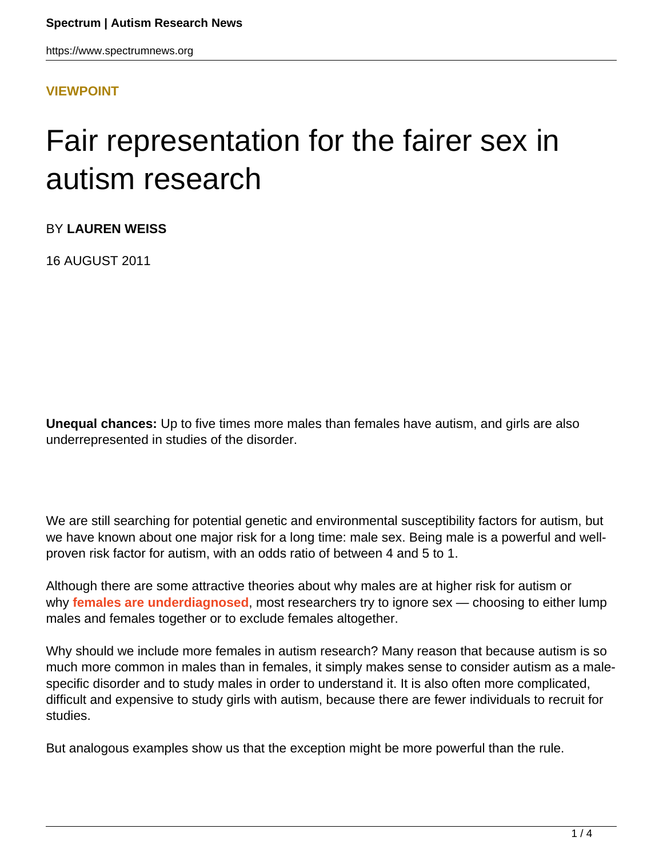https://www.spectrumnews.org

## **[VIEWPOINT](HTTPS://WWW.SPECTRUMNEWS.ORG/OPINION/VIEWPOINT/)**

## Fair representation for the fairer sex in autism research

BY **LAUREN WEISS**

16 AUGUST 2011

**Unequal chances:** Up to five times more males than females have autism, and girls are also underrepresented in studies of the disorder.

We are still searching for potential genetic and environmental susceptibility factors for autism, but we have known about one major risk for a long time: male sex. Being male is a powerful and wellproven risk factor for autism, with an odds ratio of between 4 and 5 to 1.

Although there are some attractive theories about why males are at higher risk for autism or why **[females are underdiagnosed](https://www.spectrumnews.org/news/2011/diagnostic-tests-for-autism-may-miss-many-girls)**, most researchers try to ignore sex — choosing to either lump males and females together or to exclude females altogether.

Why should we include more females in autism research? Many reason that because autism is so much more common in males than in females, it simply makes sense to consider autism as a malespecific disorder and to study males in order to understand it. It is also often more complicated, difficult and expensive to study girls with autism, because there are fewer individuals to recruit for studies.

But analogous examples show us that the exception might be more powerful than the rule.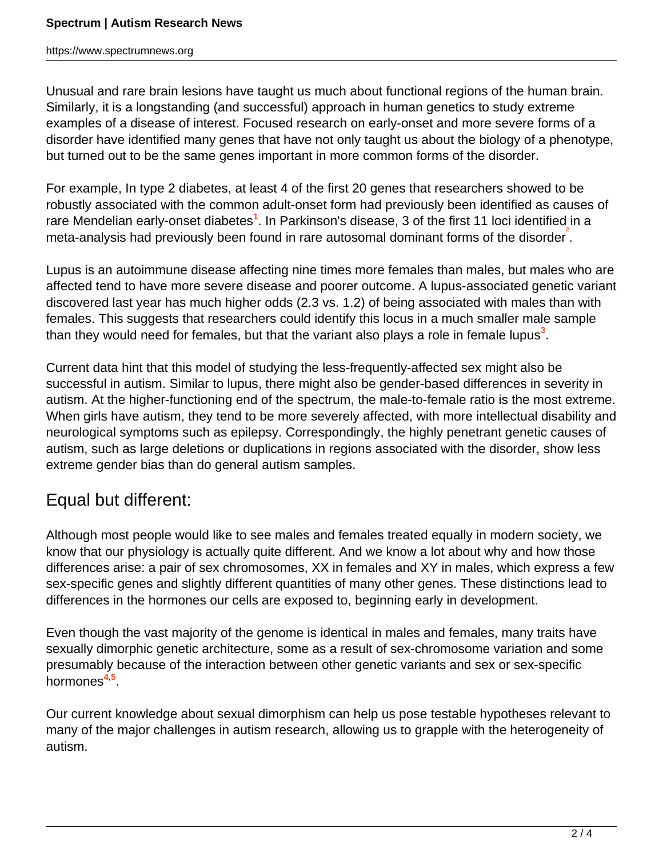https://www.spectrumnews.org

Unusual and rare brain lesions have taught us much about functional regions of the human brain. Similarly, it is a longstanding (and successful) approach in human genetics to study extreme examples of a disease of interest. Focused research on early-onset and more severe forms of a disorder have identified many genes that have not only taught us about the biology of a phenotype, but turned out to be the same genes important in more common forms of the disorder.

For example, In type 2 diabetes, at least 4 of the first 20 genes that researchers showed to be robustly associated with the common adult-onset form had previously been identified as causes of rare Mendelian early-onset diabetes**<sup>1</sup>** . In Parkinson's disease, 3 of the first 11 loci identified in a meta-analysis had previously been found in rare autosomal dominant forms of the disorder<sup>2</sup>.

Lupus is an autoimmune disease affecting nine times more females than males, but males who are affected tend to have more severe disease and poorer outcome. A lupus-associated genetic variant discovered last year has much higher odds (2.3 vs. 1.2) of being associated with males than with females. This suggests that researchers could identify this locus in a much smaller male sample than they would need for females, but that the variant also plays a role in female lupus<sup>3</sup>.

Current data hint that this model of studying the less-frequently-affected sex might also be successful in autism. Similar to lupus, there might also be gender-based differences in severity in autism. At the higher-functioning end of the spectrum, the male-to-female ratio is the most extreme. When girls have autism, they tend to be more severely affected, with more intellectual disability and neurological symptoms such as epilepsy. Correspondingly, the highly penetrant genetic causes of autism, such as large deletions or duplications in regions associated with the disorder, show less extreme gender bias than do general autism samples.

## Equal but different:

Although most people would like to see males and females treated equally in modern society, we know that our physiology is actually quite different. And we know a lot about why and how those differences arise: a pair of sex chromosomes, XX in females and XY in males, which express a few sex-specific genes and slightly different quantities of many other genes. These distinctions lead to differences in the hormones our cells are exposed to, beginning early in development.

Even though the vast majority of the genome is identical in males and females, many traits have sexually dimorphic genetic architecture, some as a result of sex-chromosome variation and some presumably because of the interaction between other genetic variants and sex or sex-specific hormones**<sup>4</sup>**,**<sup>5</sup>** .

Our current knowledge about sexual dimorphism can help us pose testable hypotheses relevant to many of the major challenges in autism research, allowing us to grapple with the heterogeneity of autism.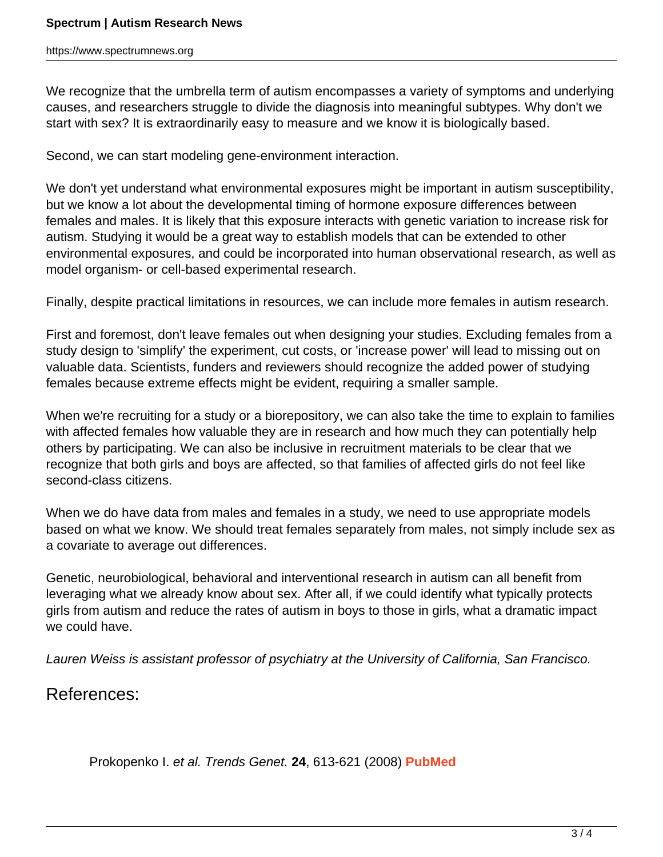We recognize that the umbrella term of autism encompasses a variety of symptoms and underlying causes, and researchers struggle to divide the diagnosis into meaningful subtypes. Why don't we start with sex? It is extraordinarily easy to measure and we know it is biologically based.

Second, we can start modeling gene-environment interaction.

We don't yet understand what environmental exposures might be important in autism susceptibility, but we know a lot about the developmental timing of hormone exposure differences between females and males. It is likely that this exposure interacts with genetic variation to increase risk for autism. Studying it would be a great way to establish models that can be extended to other environmental exposures, and could be incorporated into human observational research, as well as model organism- or cell-based experimental research.

Finally, despite practical limitations in resources, we can include more females in autism research.

First and foremost, don't leave females out when designing your studies. Excluding females from a study design to 'simplify' the experiment, cut costs, or 'increase power' will lead to missing out on valuable data. Scientists, funders and reviewers should recognize the added power of studying females because extreme effects might be evident, requiring a smaller sample.

When we're recruiting for a study or a biorepository, we can also take the time to explain to families with affected females how valuable they are in research and how much they can potentially help others by participating. We can also be inclusive in recruitment materials to be clear that we recognize that both girls and boys are affected, so that families of affected girls do not feel like second-class citizens.

When we do have data from males and females in a study, we need to use appropriate models based on what we know. We should treat females separately from males, not simply include sex as a covariate to average out differences.

Genetic, neurobiological, behavioral and interventional research in autism can all benefit from leveraging what we already know about sex. After all, if we could identify what typically protects girls from autism and reduce the rates of autism in boys to those in girls, what a dramatic impact we could have.

Lauren Weiss is assistant professor of psychiatry at the University of California, San Francisco.

## References:

Prokopenko I. et al. Trends Genet. **24**, 613-621 (2008) **[PubMed](http://www.ncbi.nlm.nih.gov/pubmed/18952314)**